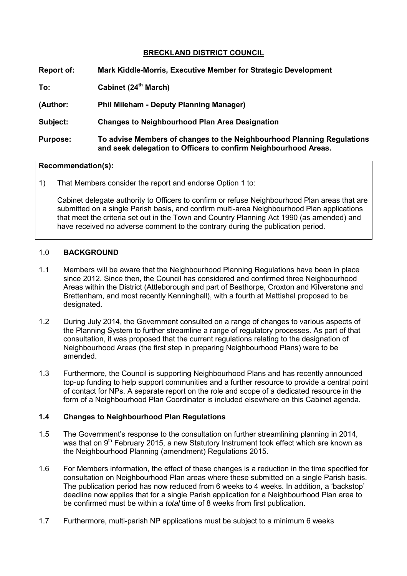## **BRECKLAND DISTRICT COUNCIL**

| <b>Report of:</b> | Mark Kiddle-Morris, Executive Member for Strategic Development                                                                            |
|-------------------|-------------------------------------------------------------------------------------------------------------------------------------------|
| To:               | Cabinet (24 <sup>th</sup> March)                                                                                                          |
| (Author:          | <b>Phil Mileham - Deputy Planning Manager)</b>                                                                                            |
| Subject:          | <b>Changes to Neighbourhood Plan Area Designation</b>                                                                                     |
| <b>Purpose:</b>   | To advise Members of changes to the Neighbourhood Planning Regulations<br>and seek delegation to Officers to confirm Neighbourhood Areas. |

## **Recommendation(s):**

1) That Members consider the report and endorse Option 1 to:

Cabinet delegate authority to Officers to confirm or refuse Neighbourhood Plan areas that are submitted on a single Parish basis, and confirm multi-area Neighbourhood Plan applications that meet the criteria set out in the Town and Country Planning Act 1990 (as amended) and have received no adverse comment to the contrary during the publication period.

## 1.0 **BACKGROUND**

- 1.1 Members will be aware that the Neighbourhood Planning Regulations have been in place since 2012. Since then, the Council has considered and confirmed three Neighbourhood Areas within the District (Attleborough and part of Besthorpe, Croxton and Kilverstone and Brettenham, and most recently Kenninghall), with a fourth at Mattishal proposed to be designated.
- 1.2 During July 2014, the Government consulted on a range of changes to various aspects of the Planning System to further streamline a range of regulatory processes. As part of that consultation, it was proposed that the current regulations relating to the designation of Neighbourhood Areas (the first step in preparing Neighbourhood Plans) were to be amended.
- 1.3 Furthermore, the Council is supporting Neighbourhood Plans and has recently announced top-up funding to help support communities and a further resource to provide a central point of contact for NPs. A separate report on the role and scope of a dedicated resource in the form of a Neighbourhood Plan Coordinator is included elsewhere on this Cabinet agenda.

## **1.4 Changes to Neighbourhood Plan Regulations**

- 1.5 The Government's response to the consultation on further streamlining planning in 2014, was that on  $9<sup>th</sup>$  February 2015, a new Statutory Instrument took effect which are known as the Neighbourhood Planning (amendment) Regulations 2015.
- 1.6 For Members information, the effect of these changes is a reduction in the time specified for consultation on Neighbourhood Plan areas where these submitted on a single Parish basis. The publication period has now reduced from 6 weeks to 4 weeks. In addition, a 'backstop' deadline now applies that for a single Parish application for a Neighbourhood Plan area to be confirmed must be within a *total* time of 8 weeks from first publication.
- 1.7 Furthermore, multi-parish NP applications must be subject to a minimum 6 weeks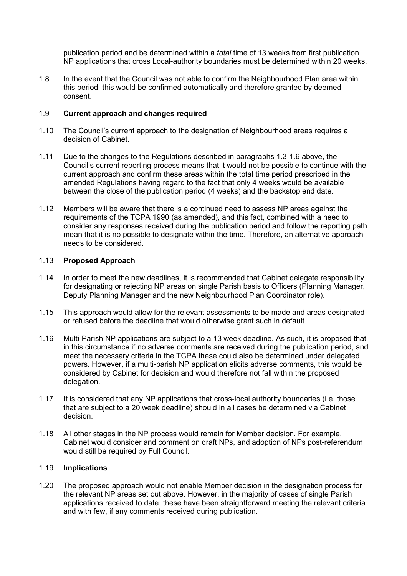publication period and be determined within a *total* time of 13 weeks from first publication. NP applications that cross Local-authority boundaries must be determined within 20 weeks.

1.8 In the event that the Council was not able to confirm the Neighbourhood Plan area within this period, this would be confirmed automatically and therefore granted by deemed consent.

#### 1.9 **Current approach and changes required**

- 1.10 The Council's current approach to the designation of Neighbourhood areas requires a decision of Cabinet.
- 1.11 Due to the changes to the Regulations described in paragraphs 1.3-1.6 above, the Council's current reporting process means that it would not be possible to continue with the current approach and confirm these areas within the total time period prescribed in the amended Regulations having regard to the fact that only 4 weeks would be available between the close of the publication period (4 weeks) and the backstop end date.
- 1.12 Members will be aware that there is a continued need to assess NP areas against the requirements of the TCPA 1990 (as amended), and this fact, combined with a need to consider any responses received during the publication period and follow the reporting path mean that it is no possible to designate within the time. Therefore, an alternative approach needs to be considered.

#### 1.13 **Proposed Approach**

- 1.14 In order to meet the new deadlines, it is recommended that Cabinet delegate responsibility for designating or rejecting NP areas on single Parish basis to Officers (Planning Manager, Deputy Planning Manager and the new Neighbourhood Plan Coordinator role).
- 1.15 This approach would allow for the relevant assessments to be made and areas designated or refused before the deadline that would otherwise grant such in default.
- 1.16 Multi-Parish NP applications are subject to a 13 week deadline. As such, it is proposed that in this circumstance if no adverse comments are received during the publication period, and meet the necessary criteria in the TCPA these could also be determined under delegated powers. However, if a multi-parish NP application elicits adverse comments, this would be considered by Cabinet for decision and would therefore not fall within the proposed delegation.
- 1.17 It is considered that any NP applications that cross-local authority boundaries (i.e. those that are subject to a 20 week deadline) should in all cases be determined via Cabinet decision.
- 1.18 All other stages in the NP process would remain for Member decision. For example, Cabinet would consider and comment on draft NPs, and adoption of NPs post-referendum would still be required by Full Council.

#### 1.19 **Implications**

1.20 The proposed approach would not enable Member decision in the designation process for the relevant NP areas set out above. However, in the majority of cases of single Parish applications received to date, these have been straightforward meeting the relevant criteria and with few, if any comments received during publication.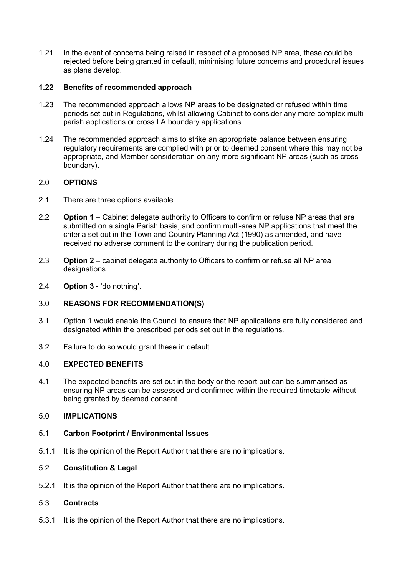1.21 In the event of concerns being raised in respect of a proposed NP area, these could be rejected before being granted in default, minimising future concerns and procedural issues as plans develop.

## **1.22 Benefits of recommended approach**

- 1.23 The recommended approach allows NP areas to be designated or refused within time periods set out in Regulations, whilst allowing Cabinet to consider any more complex multiparish applications or cross LA boundary applications.
- 1.24 The recommended approach aims to strike an appropriate balance between ensuring regulatory requirements are complied with prior to deemed consent where this may not be appropriate, and Member consideration on any more significant NP areas (such as crossboundary).

## 2.0 **OPTIONS**

- 2.1 There are three options available.
- 2.2 **Option 1** Cabinet delegate authority to Officers to confirm or refuse NP areas that are submitted on a single Parish basis, and confirm multi-area NP applications that meet the criteria set out in the Town and Country Planning Act (1990) as amended, and have received no adverse comment to the contrary during the publication period.
- 2.3 **Option 2** cabinet delegate authority to Officers to confirm or refuse all NP area designations.
- 2.4 **Option 3** 'do nothing'.

# 3.0 **REASONS FOR RECOMMENDATION(S)**

- 3.1 Option 1 would enable the Council to ensure that NP applications are fully considered and designated within the prescribed periods set out in the regulations.
- 3.2 Failure to do so would grant these in default.

## 4.0 **EXPECTED BENEFITS**

4.1 The expected benefits are set out in the body or the report but can be summarised as ensuring NP areas can be assessed and confirmed within the required timetable without being granted by deemed consent.

## 5.0 **IMPLICATIONS**

- 5.1 **Carbon Footprint / Environmental Issues**
- 5.1.1 It is the opinion of the Report Author that there are no implications.

# 5.2 **Constitution & Legal**

5.2.1 It is the opinion of the Report Author that there are no implications.

## 5.3 **Contracts**

5.3.1 It is the opinion of the Report Author that there are no implications.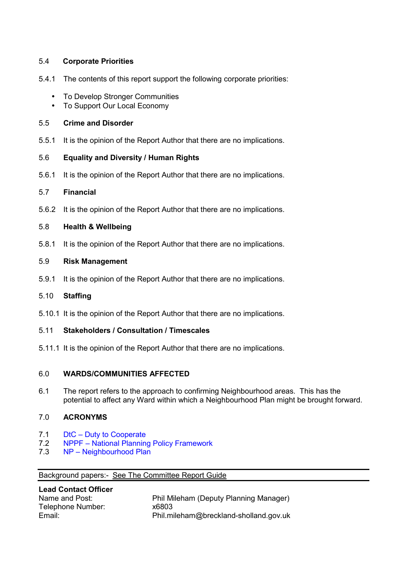## 5.4 **Corporate Priorities**

- 5.4.1 The contents of this report support the following corporate priorities:
	- To Develop Stronger Communities
	- To Support Our Local Economy

## 5.5 **Crime and Disorder**

5.5.1 It is the opinion of the Report Author that there are no implications.

## 5.6 **Equality and Diversity / Human Rights**

5.6.1 It is the opinion of the Report Author that there are no implications.

# 5.7 **Financial**

5.6.2 It is the opinion of the Report Author that there are no implications.

## 5.8 **Health & Wellbeing**

5.8.1 It is the opinion of the Report Author that there are no implications.

## 5.9 **Risk Management**

5.9.1 It is the opinion of the Report Author that there are no implications.

## 5.10 **Staffing**

5.10.1 It is the opinion of the Report Author that there are no implications.

## 5.11 **Stakeholders / Consultation / Timescales**

5.11.1 It is the opinion of the Report Author that there are no implications.

# 6.0 **WARDS/COMMUNITIES AFFECTED**

6.1 The report refers to the approach to confirming Neighbourhood areas. This has the potential to affect any Ward within which a Neighbourhood Plan might be brought forward.

## 7.0 **ACRONYMS**

- 7.1 DtC Duty to Cooperate
- 7.2 NPPF National Planning Policy Framework
- 7.3 NP Neighbourhood Plan

## Background papers:- See The Committee Report Guide

| <b>Lead Contact Officer</b> |                                        |
|-----------------------------|----------------------------------------|
| Name and Post:              | Phil Mileham (Deputy Planning Manager) |
| Telephone Number:           | x6803                                  |
| Email:                      | Phil.mileham@breckland-sholland.gov.uk |